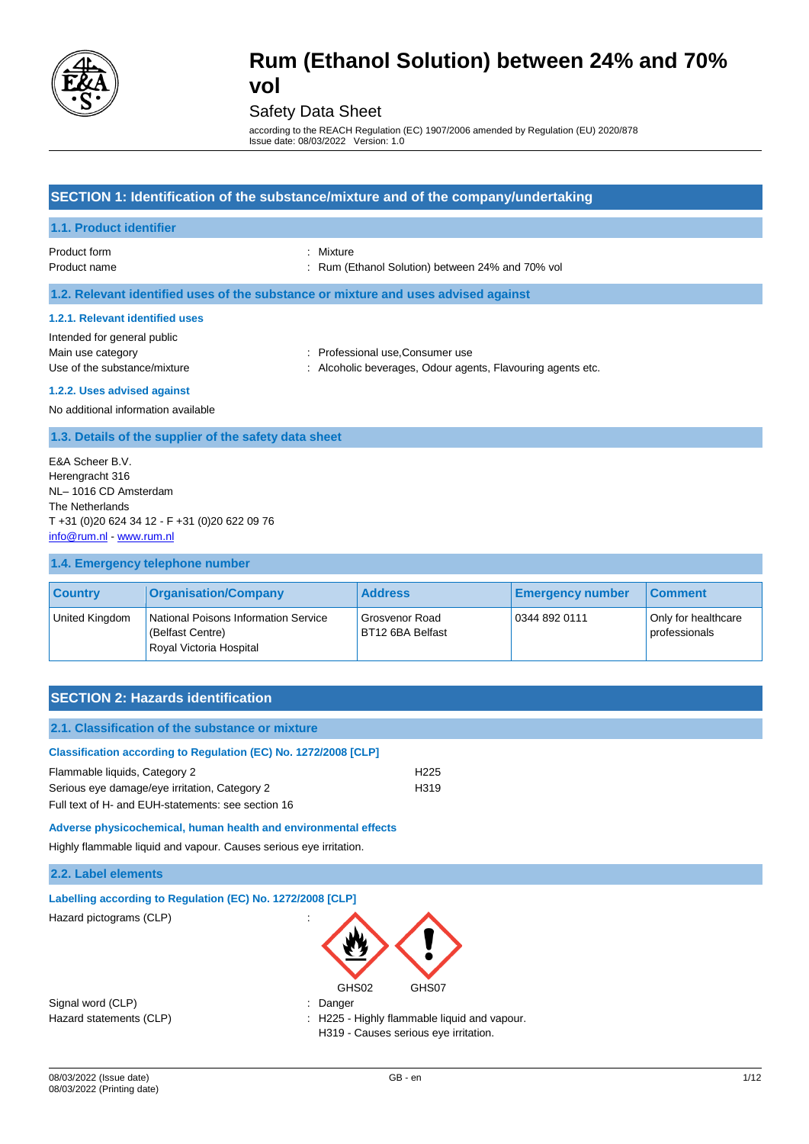

## Safety Data Sheet

according to the REACH Regulation (EC) 1907/2006 amended by Regulation (EU) 2020/878 Issue date: 08/03/2022 Version: 1.0

## **SECTION 1: Identification of the substance/mixture and of the company/undertaking**

### **1.1. Product identifier**

Product form : Nixture : Nixture

Product name **in the state of the CE**thanol Solution) between 24% and 70% vol

**1.2. Relevant identified uses of the substance or mixture and uses advised against**

#### **1.2.1. Relevant identified uses**

Intended for general public

- Main use category **Main use category : Professional use, Consumer use**
- Use of the substance/mixture  $\cdot$  : Alcoholic beverages, Odour agents, Flavouring agents etc.

### **1.2.2. Uses advised against**

No additional information available

## **1.3. Details of the supplier of the safety data sheet**

E&A Scheer B.V. Herengracht 316 NL– 1016 CD Amsterdam The Netherlands T +31 (0)20 624 34 12 - F +31 (0)20 622 09 76 [info@rum.nl](mailto:info@rum.nl) - [www.rum.nl](http://www.rum.nl/)

### **1.4. Emergency telephone number**

| <b>Country</b> | <b>Organisation/Company</b>                                                         | <b>Address</b>                     | <b>Emergency number</b> | <b>Comment</b>                       |
|----------------|-------------------------------------------------------------------------------------|------------------------------------|-------------------------|--------------------------------------|
| United Kingdom | National Poisons Information Service<br>(Belfast Centre)<br>Royal Victoria Hospital | Grosvenor Road<br>BT12 6BA Belfast | 0344 892 0111           | Only for healthcare<br>professionals |

## **SECTION 2: Hazards identification**

| 2.1. Classification of the substance or mixture                     |                  |
|---------------------------------------------------------------------|------------------|
| Classification according to Regulation (EC) No. 1272/2008 [CLP]     |                  |
| Flammable liquids, Category 2                                       | H <sub>225</sub> |
| Serious eye damage/eye irritation, Category 2                       | H319             |
| Full text of H- and EUH-statements: see section 16                  |                  |
| Adverse physicochemical, human health and environmental effects     |                  |
| Highly flammable liquid and vapour. Causes serious eye irritation.  |                  |
| 2.2. Label elements                                                 |                  |
| Labelling according to Regulation (EC) No. 1272/2008 [CLP]          |                  |
| Hazard pictograms (CLP)                                             |                  |
|                                                                     |                  |
|                                                                     |                  |
|                                                                     |                  |
| GHS02<br>$\mathbb{R}^n$ is interesting to the set of $\mathbb{R}^n$ | GHS07            |

Signal word (CLP)  $\qquad \qquad$ : Danger

Hazard statements (CLP) **in the statement of the statements (CLP)**  $\cdot$  H225 - Highly flammable liquid and vapour. H319 - Causes serious eye irritation.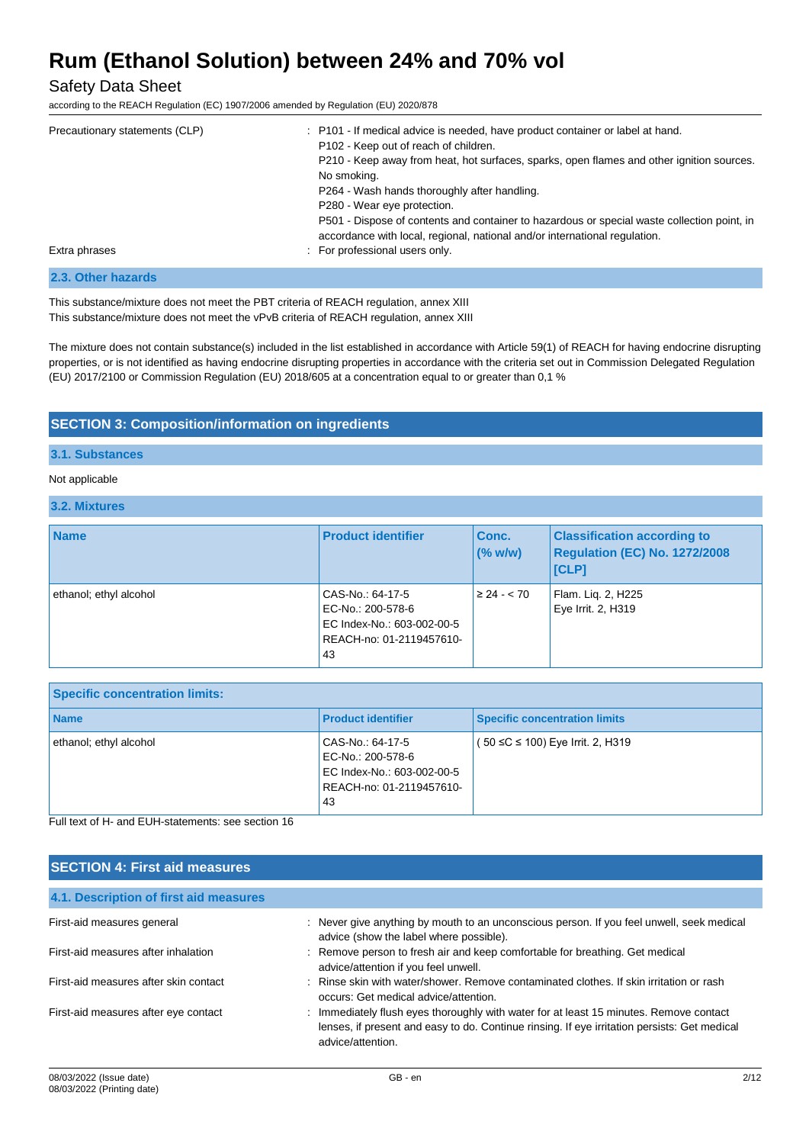Safety Data Sheet

according to the REACH Regulation (EC) 1907/2006 amended by Regulation (EU) 2020/878

| Precautionary statements (CLP) | : P101 - If medical advice is needed, have product container or label at hand.<br>P102 - Keep out of reach of children.<br>P210 - Keep away from heat, hot surfaces, sparks, open flames and other ignition sources.<br>No smoking.<br>P264 - Wash hands thoroughly after handling.<br>P280 - Wear eye protection.<br>P501 - Dispose of contents and container to hazardous or special waste collection point, in<br>accordance with local, regional, national and/or international regulation. |
|--------------------------------|-------------------------------------------------------------------------------------------------------------------------------------------------------------------------------------------------------------------------------------------------------------------------------------------------------------------------------------------------------------------------------------------------------------------------------------------------------------------------------------------------|
| Extra phrases                  | : For professional users only.                                                                                                                                                                                                                                                                                                                                                                                                                                                                  |

### **2.3. Other hazards**

This substance/mixture does not meet the PBT criteria of REACH regulation, annex XIII This substance/mixture does not meet the vPvB criteria of REACH regulation, annex XIII

The mixture does not contain substance(s) included in the list established in accordance with Article 59(1) of REACH for having endocrine disrupting properties, or is not identified as having endocrine disrupting properties in accordance with the criteria set out in Commission Delegated Regulation (EU) 2017/2100 or Commission Regulation (EU) 2018/605 at a concentration equal to or greater than 0,1 %

## **SECTION 3: Composition/information on ingredients**

## **3.1. Substances**

### Not applicable

### **3.2. Mixtures**

| <b>Name</b>            | <b>Product identifier</b>                                                                             | Conc.<br>(% w/w) | <b>Classification according to</b><br>Regulation (EC) No. 1272/2008<br> [CLP] |
|------------------------|-------------------------------------------------------------------------------------------------------|------------------|-------------------------------------------------------------------------------|
| ethanol; ethyl alcohol | CAS-No.: 64-17-5<br>EC-No.: 200-578-6<br>EC Index-No.: 603-002-00-5<br>REACH-no: 01-2119457610-<br>43 | $\geq 24 - 70$   | Flam. Lig. 2, H225<br>Eye Irrit. 2, H319                                      |

| <b>Specific concentration limits:</b> |                                                                                                        |                                      |
|---------------------------------------|--------------------------------------------------------------------------------------------------------|--------------------------------------|
| <b>Name</b>                           | <b>Product identifier</b>                                                                              | <b>Specific concentration limits</b> |
| ethanol; ethyl alcohol                | CAS-No.: 64-17-5<br>EC-No.: 200-578-6<br>EC Index-No.: 603-002-00-5<br>REACH-no: 01-2119457610-<br>-43 | (50 ≤C ≤ 100) Eye Irrit. 2, H319     |

Full text of H- and EUH-statements: see section 16

| <b>SECTION 4: First aid measures</b>   |                                                                                                                                                                                                             |
|----------------------------------------|-------------------------------------------------------------------------------------------------------------------------------------------------------------------------------------------------------------|
| 4.1. Description of first aid measures |                                                                                                                                                                                                             |
| First-aid measures general             | : Never give anything by mouth to an unconscious person. If you feel unwell, seek medical<br>advice (show the label where possible).                                                                        |
| First-aid measures after inhalation    | : Remove person to fresh air and keep comfortable for breathing. Get medical<br>advice/attention if you feel unwell.                                                                                        |
| First-aid measures after skin contact  | : Rinse skin with water/shower. Remove contaminated clothes. If skin irritation or rash<br>occurs: Get medical advice/attention.                                                                            |
| First-aid measures after eye contact   | : Immediately flush eyes thoroughly with water for at least 15 minutes. Remove contact<br>lenses, if present and easy to do. Continue rinsing. If eye irritation persists: Get medical<br>advice/attention. |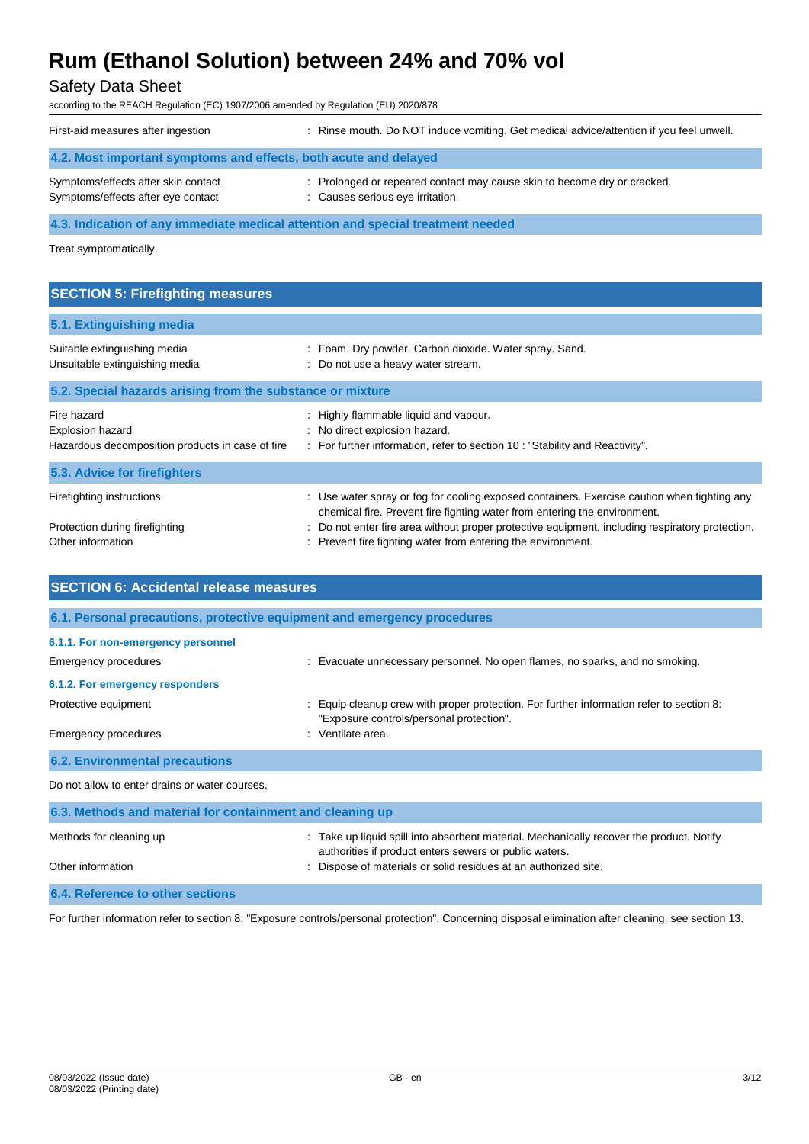## Safety Data Sheet

according to the REACH Regulation (EC) 1907/2006 amended by Regulation (EU) 2020/878

| First-aid measures after ingestion                                              | : Rinse mouth. Do NOT induce vomiting. Get medical advice/attention if you feel unwell.                      |  |
|---------------------------------------------------------------------------------|--------------------------------------------------------------------------------------------------------------|--|
| 4.2. Most important symptoms and effects, both acute and delayed                |                                                                                                              |  |
| Symptoms/effects after skin contact<br>Symptoms/effects after eye contact       | : Prolonged or repeated contact may cause skin to become dry or cracked.<br>: Causes serious eye irritation. |  |
| 4.3. Indication of any immediate medical attention and special treatment needed |                                                                                                              |  |

Treat symptomatically.

| Foam. Dry powder. Carbon dioxide. Water spray. Sand.<br>Do not use a heavy water stream.                                                                                                                                                                                                                                                |
|-----------------------------------------------------------------------------------------------------------------------------------------------------------------------------------------------------------------------------------------------------------------------------------------------------------------------------------------|
| 5.2. Special hazards arising from the substance or mixture                                                                                                                                                                                                                                                                              |
| : Highly flammable liquid and vapour.<br>: No direct explosion hazard.<br>: For further information, refer to section 10 : "Stability and Reactivity".                                                                                                                                                                                  |
|                                                                                                                                                                                                                                                                                                                                         |
| : Use water spray or fog for cooling exposed containers. Exercise caution when fighting any<br>chemical fire. Prevent fire fighting water from entering the environment.<br>Do not enter fire area without proper protective equipment, including respiratory protection.<br>Prevent fire fighting water from entering the environment. |
|                                                                                                                                                                                                                                                                                                                                         |

| <b>SECTION 6: Accidental release measures</b>                            |                                                                                                                                                    |  |  |
|--------------------------------------------------------------------------|----------------------------------------------------------------------------------------------------------------------------------------------------|--|--|
| 6.1. Personal precautions, protective equipment and emergency procedures |                                                                                                                                                    |  |  |
| 6.1.1. For non-emergency personnel                                       |                                                                                                                                                    |  |  |
| Emergency procedures                                                     | : Evacuate unnecessary personnel. No open flames, no sparks, and no smoking.                                                                       |  |  |
| 6.1.2. For emergency responders                                          |                                                                                                                                                    |  |  |
| Protective equipment                                                     | Equip cleanup crew with proper protection. For further information refer to section 8:<br>"Exposure controls/personal protection".                 |  |  |
| <b>Emergency procedures</b>                                              | : Ventilate area.                                                                                                                                  |  |  |
| <b>6.2. Environmental precautions</b>                                    |                                                                                                                                                    |  |  |
| Do not allow to enter drains or water courses.                           |                                                                                                                                                    |  |  |
| 6.3. Methods and material for containment and cleaning up                |                                                                                                                                                    |  |  |
| Methods for cleaning up                                                  | : Take up liquid spill into absorbent material. Mechanically recover the product. Notify<br>authorities if product enters sewers or public waters. |  |  |
| Other information                                                        | Dispose of materials or solid residues at an authorized site.                                                                                      |  |  |
| 6.4. Reference to other sections                                         |                                                                                                                                                    |  |  |

For further information refer to section 8: "Exposure controls/personal protection". Concerning disposal elimination after cleaning, see section 13.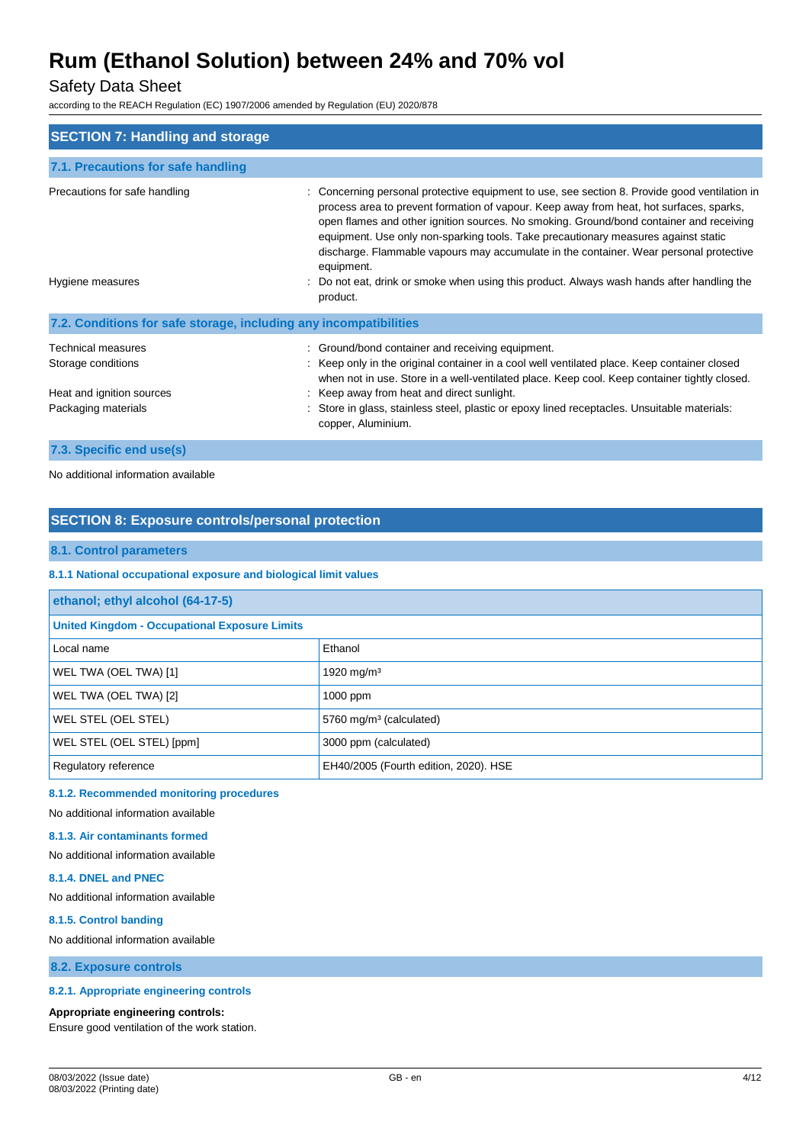## Safety Data Sheet

according to the REACH Regulation (EC) 1907/2006 amended by Regulation (EU) 2020/878

| <b>SECTION 7: Handling and storage</b>                                                       |                                                                                                                                                                                                                                                                                                                                                                                                                                                                                 |
|----------------------------------------------------------------------------------------------|---------------------------------------------------------------------------------------------------------------------------------------------------------------------------------------------------------------------------------------------------------------------------------------------------------------------------------------------------------------------------------------------------------------------------------------------------------------------------------|
| 7.1. Precautions for safe handling                                                           |                                                                                                                                                                                                                                                                                                                                                                                                                                                                                 |
| Precautions for safe handling                                                                | Concerning personal protective equipment to use, see section 8. Provide good ventilation in<br>process area to prevent formation of vapour. Keep away from heat, hot surfaces, sparks,<br>open flames and other ignition sources. No smoking. Ground/bond container and receiving<br>equipment. Use only non-sparking tools. Take precautionary measures against static<br>discharge. Flammable vapours may accumulate in the container. Wear personal protective<br>equipment. |
| Hygiene measures                                                                             | : Do not eat, drink or smoke when using this product. Always wash hands after handling the<br>product.                                                                                                                                                                                                                                                                                                                                                                          |
| 7.2. Conditions for safe storage, including any incompatibilities                            |                                                                                                                                                                                                                                                                                                                                                                                                                                                                                 |
| Technical measures<br>Storage conditions<br>Heat and ignition sources<br>Packaging materials | : Ground/bond container and receiving equipment.<br>: Keep only in the original container in a cool well ventilated place. Keep container closed<br>when not in use. Store in a well-ventilated place. Keep cool. Keep container tightly closed.<br>: Keep away from heat and direct sunlight.<br>: Store in glass, stainless steel, plastic or epoxy lined receptacles. Unsuitable materials:<br>copper, Aluminium.                                                            |

## **7.3. Specific end use(s)**

No additional information available

## **SECTION 8: Exposure controls/personal protection**

## **8.1. Control parameters**

### **8.1.1 National occupational exposure and biological limit values**

| ethanol; ethyl alcohol (64-17-5)                     |                                       |  |
|------------------------------------------------------|---------------------------------------|--|
| <b>United Kingdom - Occupational Exposure Limits</b> |                                       |  |
| Local name                                           | Ethanol                               |  |
| WEL TWA (OEL TWA) [1]                                | 1920 mg/m <sup>3</sup>                |  |
| WEL TWA (OEL TWA) [2]                                | $1000$ ppm                            |  |
| WEL STEL (OEL STEL)                                  | 5760 mg/m <sup>3</sup> (calculated)   |  |
| WEL STEL (OEL STEL) [ppm]                            | 3000 ppm (calculated)                 |  |
| Regulatory reference                                 | EH40/2005 (Fourth edition, 2020). HSE |  |

## **8.1.2. Recommended monitoring procedures**

No additional information available

#### **8.1.3. Air contaminants formed**

No additional information available

#### **8.1.4. DNEL and PNEC**

No additional information available

#### **8.1.5. Control banding**

No additional information available

**8.2. Exposure controls**

### **8.2.1. Appropriate engineering controls**

#### **Appropriate engineering controls:**

Ensure good ventilation of the work station.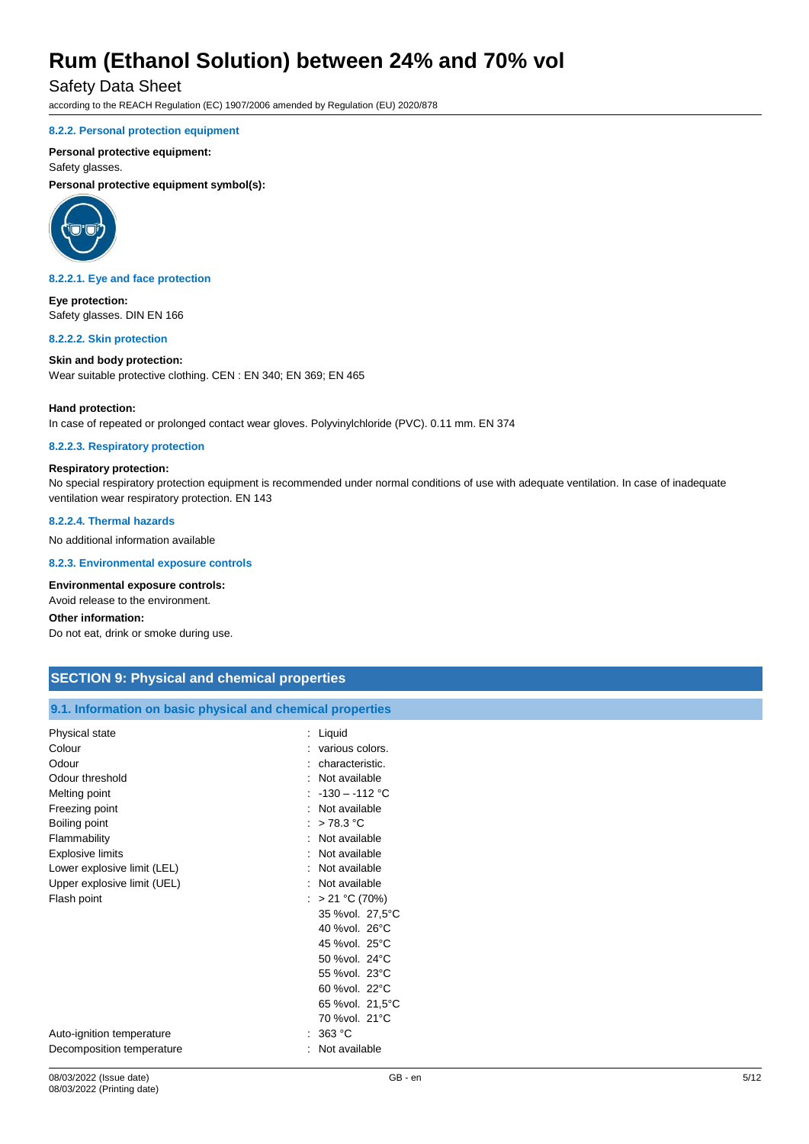## Safety Data Sheet

according to the REACH Regulation (EC) 1907/2006 amended by Regulation (EU) 2020/878

#### **8.2.2. Personal protection equipment**

#### **Personal protective equipment:**

Safety glasses.

**Personal protective equipment symbol(s):**



#### **8.2.2.1. Eye and face protection**

**Eye protection:** Safety glasses. DIN EN 166

#### **8.2.2.2. Skin protection**

**Skin and body protection:** Wear suitable protective clothing. CEN : EN 340; EN 369; EN 465

#### **Hand protection:**

In case of repeated or prolonged contact wear gloves. Polyvinylchloride (PVC). 0.11 mm. EN 374

#### **8.2.2.3. Respiratory protection**

#### **Respiratory protection:**

No special respiratory protection equipment is recommended under normal conditions of use with adequate ventilation. In case of inadequate ventilation wear respiratory protection. EN 143

**8.2.2.4. Thermal hazards**

No additional information available

#### **8.2.3. Environmental exposure controls**

#### **Environmental exposure controls:**

Avoid release to the environment.

## **Other information:**

Do not eat, drink or smoke during use.

| <b>SECTION 9: Physical and chemical properties</b>         |                   |  |
|------------------------------------------------------------|-------------------|--|
|                                                            |                   |  |
| 9.1. Information on basic physical and chemical properties |                   |  |
| Physical state                                             | $:$ Liquid        |  |
| Colour                                                     | : various colors. |  |
| Odour                                                      | : characteristic. |  |
| Odour threshold                                            | : Not available   |  |
| Melting point                                              | : $-130 - 112$ °C |  |
| Freezing point                                             | : Not available   |  |
| Boiling point                                              | : $>78.3$ °C      |  |
| Flammability                                               | : Not available   |  |
| <b>Explosive limits</b>                                    | : Not available   |  |
| Lower explosive limit (LEL)                                | : Not available   |  |
| Upper explosive limit (UEL)                                | : Not available   |  |
| Flash point                                                | : > 21 °C (70%)   |  |
|                                                            | 35 %vol. 27,5°C   |  |
|                                                            | 40 %vol. 26°C     |  |
|                                                            | 45 %vol. 25°C     |  |
|                                                            | 50 %vol. 24°C     |  |

55 %vol. 23°C 60 %vol. 22°C 65 %vol. 21,5°C 70 %vol. 21°C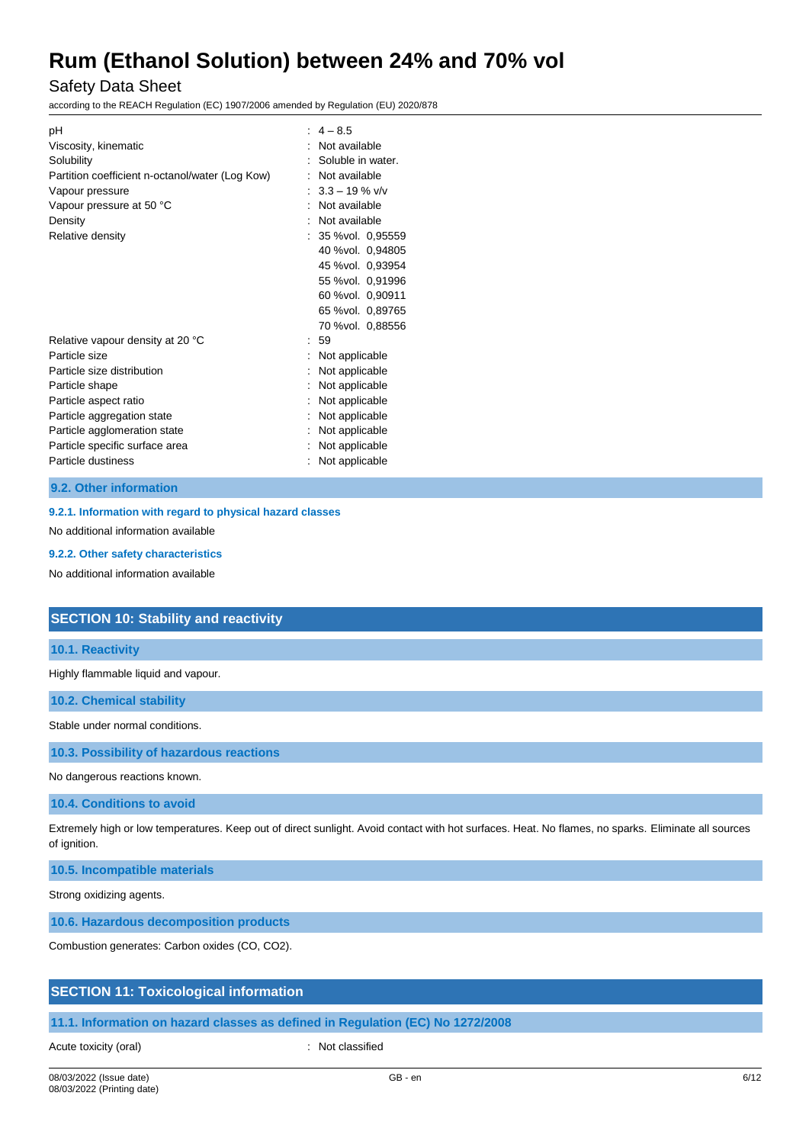## Safety Data Sheet

according to the REACH Regulation (EC) 1907/2006 amended by Regulation (EU) 2020/878

| pH                                              | $: 4 - 8.5$         |  |  |  |
|-------------------------------------------------|---------------------|--|--|--|
| Viscosity, kinematic                            | Not available       |  |  |  |
| Solubility                                      | Soluble in water.   |  |  |  |
| Partition coefficient n-octanol/water (Log Kow) | Not available       |  |  |  |
| Vapour pressure                                 | $: 3.3 - 19 \%$ v/v |  |  |  |
| Vapour pressure at 50 °C                        | Not available       |  |  |  |
| Density                                         | Not available       |  |  |  |
| Relative density                                | : 35 %vol. 0,95559  |  |  |  |
|                                                 | 40 %vol. 0,94805    |  |  |  |
|                                                 | 45 %vol. 0,93954    |  |  |  |
|                                                 | 55 %vol. 0,91996    |  |  |  |
|                                                 | 60 %vol. 0,90911    |  |  |  |
|                                                 | 65 %vol. 0,89765    |  |  |  |
|                                                 | 70 %vol. 0,88556    |  |  |  |
| Relative vapour density at 20 °C                | : 59                |  |  |  |
| Particle size                                   | Not applicable      |  |  |  |
| Particle size distribution                      | Not applicable      |  |  |  |
| Particle shape                                  | Not applicable      |  |  |  |
| Particle aspect ratio                           | Not applicable      |  |  |  |
| Particle aggregation state                      | Not applicable      |  |  |  |
| Particle agglomeration state                    | Not applicable      |  |  |  |
| Particle specific surface area                  | Not applicable      |  |  |  |
| Particle dustiness                              | Not applicable      |  |  |  |
|                                                 |                     |  |  |  |

#### **9.2. Other information**

## **9.2.1. Information with regard to physical hazard classes**

No additional information available

#### **9.2.2. Other safety characteristics**

No additional information available

## **SECTION 10: Stability and reactivity**

## **10.1. Reactivity**

Highly flammable liquid and vapour.

**10.2. Chemical stability**

Stable under normal conditions.

#### **10.3. Possibility of hazardous reactions**

No dangerous reactions known.

#### **10.4. Conditions to avoid**

Extremely high or low temperatures. Keep out of direct sunlight. Avoid contact with hot surfaces. Heat. No flames, no sparks. Eliminate all sources of ignition.

**10.5. Incompatible materials**

Strong oxidizing agents.

**10.6. Hazardous decomposition products**

Combustion generates: Carbon oxides (CO, CO2).

## **SECTION 11: Toxicological information**

**11.1. Information on hazard classes as defined in Regulation (EC) No 1272/2008**

Acute toxicity (oral) **Example 2** Constant Constant Constant Constant Constant Constant Constant Constant Constant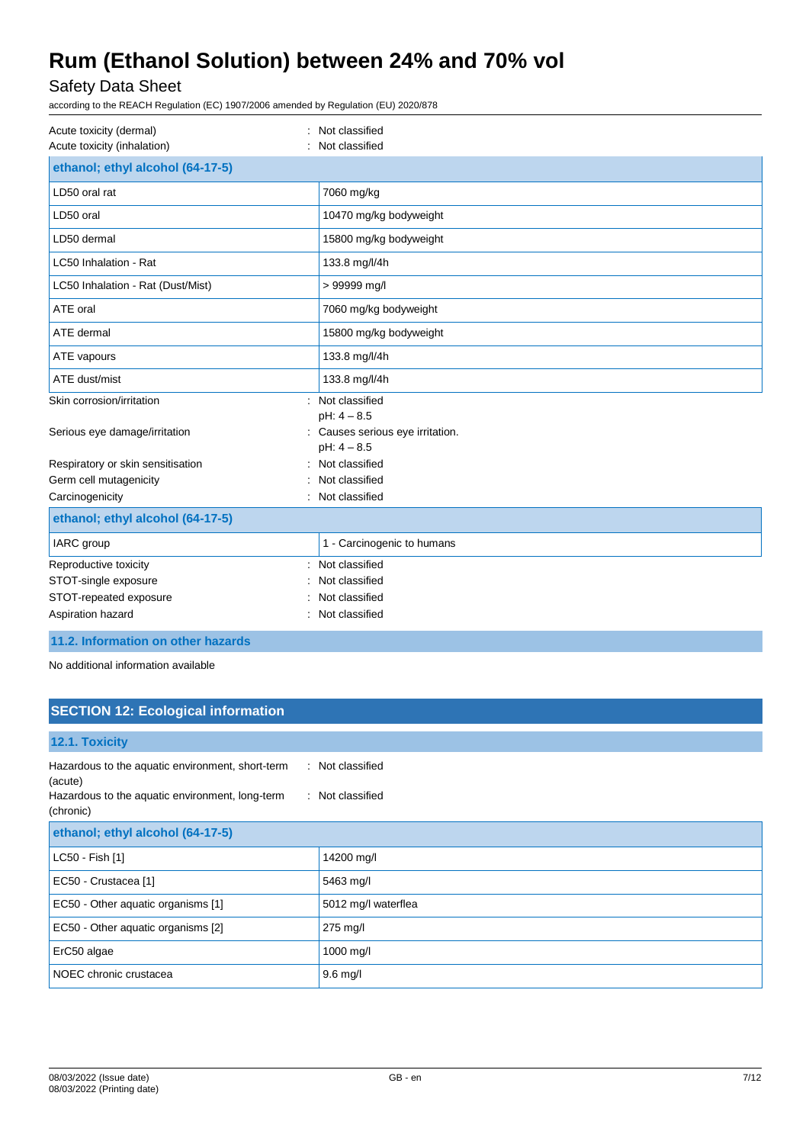## Safety Data Sheet

according to the REACH Regulation (EC) 1907/2006 amended by Regulation (EU) 2020/878

| Acute toxicity (dermal)<br>Acute toxicity (inhalation) | Not classified<br>Not classified                                   |
|--------------------------------------------------------|--------------------------------------------------------------------|
| ethanol; ethyl alcohol (64-17-5)                       |                                                                    |
| LD50 oral rat                                          | 7060 mg/kg                                                         |
| LD50 oral                                              | 10470 mg/kg bodyweight                                             |
| LD50 dermal                                            | 15800 mg/kg bodyweight                                             |
| LC50 Inhalation - Rat                                  | 133.8 mg/l/4h                                                      |
| LC50 Inhalation - Rat (Dust/Mist)                      | > 99999 mg/l                                                       |
| ATE oral                                               | 7060 mg/kg bodyweight                                              |
| ATE dermal                                             | 15800 mg/kg bodyweight                                             |
| ATE vapours                                            | 133.8 mg/l/4h                                                      |
| ATE dust/mist                                          | 133.8 mg/l/4h                                                      |
| Skin corrosion/irritation                              | : Not classified                                                   |
| Serious eye damage/irritation                          | $pH: 4 - 8.5$<br>: Causes serious eye irritation.<br>$pH: 4 - 8.5$ |
| Respiratory or skin sensitisation                      | Not classified                                                     |
| Germ cell mutagenicity                                 | Not classified                                                     |
| Carcinogenicity                                        | Not classified                                                     |
| ethanol; ethyl alcohol (64-17-5)                       |                                                                    |
| IARC group                                             | 1 - Carcinogenic to humans                                         |
| Reproductive toxicity                                  | Not classified                                                     |
| STOT-single exposure                                   | Not classified                                                     |
| STOT-repeated exposure                                 | Not classified                                                     |
| Aspiration hazard                                      | Not classified                                                     |

## **11.2. Information on other hazards**

No additional information available

## **SECTION 12: Ecological information**

| 12.1. Toxicity                                                                                                              |                                      |
|-----------------------------------------------------------------------------------------------------------------------------|--------------------------------------|
| Hazardous to the aquatic environment, short-term<br>(acute)<br>Hazardous to the aquatic environment, long-term<br>(chronic) | : Not classified<br>: Not classified |
| ethanol; ethyl alcohol (64-17-5)                                                                                            |                                      |
| LC50 - Fish [1]                                                                                                             | 14200 mg/l                           |
| EC50 - Crustacea [1]                                                                                                        | 5463 mg/l                            |
| EC50 - Other aquatic organisms [1]                                                                                          | 5012 mg/l waterflea                  |
| EC50 - Other aquatic organisms [2]                                                                                          | 275 mg/l                             |
| ErC50 algae                                                                                                                 | 1000 mg/l                            |
| NOEC chronic crustacea                                                                                                      | $9.6$ mg/l                           |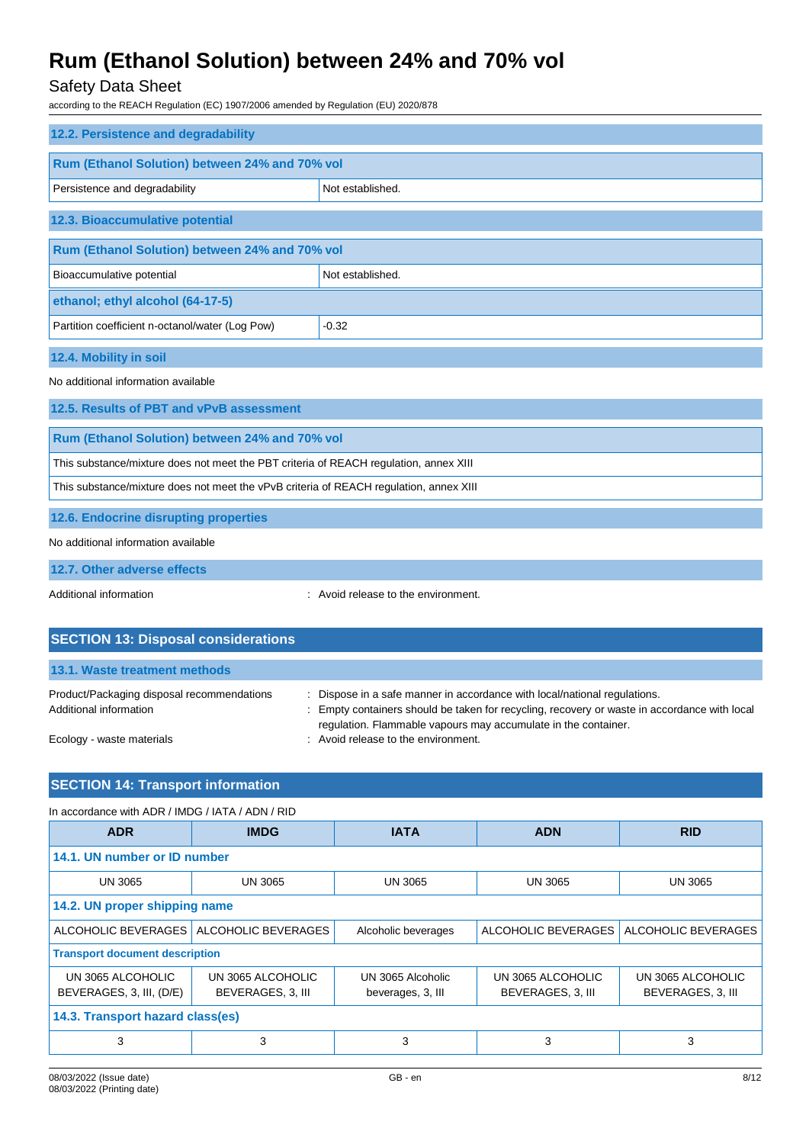## Safety Data Sheet

according to the REACH Regulation (EC) 1907/2006 amended by Regulation (EU) 2020/878

| 12.2. Persistence and degradability                                                    |                                     |  |  |
|----------------------------------------------------------------------------------------|-------------------------------------|--|--|
| Rum (Ethanol Solution) between 24% and 70% vol                                         |                                     |  |  |
| Persistence and degradability                                                          | Not established.                    |  |  |
| 12.3. Bioaccumulative potential                                                        |                                     |  |  |
| Rum (Ethanol Solution) between 24% and 70% vol                                         |                                     |  |  |
| Bioaccumulative potential                                                              | Not established.                    |  |  |
| ethanol; ethyl alcohol (64-17-5)                                                       |                                     |  |  |
| Partition coefficient n-octanol/water (Log Pow)                                        | $-0.32$                             |  |  |
| 12.4. Mobility in soil                                                                 |                                     |  |  |
| No additional information available                                                    |                                     |  |  |
| 12.5. Results of PBT and vPvB assessment                                               |                                     |  |  |
| Rum (Ethanol Solution) between 24% and 70% vol                                         |                                     |  |  |
| This substance/mixture does not meet the PBT criteria of REACH regulation, annex XIII  |                                     |  |  |
| This substance/mixture does not meet the vPvB criteria of REACH regulation, annex XIII |                                     |  |  |
| 12.6. Endocrine disrupting properties                                                  |                                     |  |  |
| No additional information available                                                    |                                     |  |  |
| 12.7. Other adverse effects                                                            |                                     |  |  |
| Additional information                                                                 | : Avoid release to the environment. |  |  |

| <b>SECTION 13: Disposal considerations</b>                           |                                                                                                                                                                                                                                             |
|----------------------------------------------------------------------|---------------------------------------------------------------------------------------------------------------------------------------------------------------------------------------------------------------------------------------------|
| 13.1. Waste treatment methods                                        |                                                                                                                                                                                                                                             |
| Product/Packaging disposal recommendations<br>Additional information | : Dispose in a safe manner in accordance with local/national regulations.<br>: Empty containers should be taken for recycling, recovery or waste in accordance with local<br>regulation. Flammable vapours may accumulate in the container. |
| Ecology - waste materials                                            | : Avoid release to the environment.                                                                                                                                                                                                         |

## **SECTION 14: Transport information**

| In accordance with ADR / IMDG / IATA / ADN / RID |                     |                     |                     |                     |
|--------------------------------------------------|---------------------|---------------------|---------------------|---------------------|
| <b>ADR</b>                                       | <b>IMDG</b>         | <b>IATA</b>         | <b>ADN</b>          | <b>RID</b>          |
| 14.1. UN number or ID number                     |                     |                     |                     |                     |
| <b>UN 3065</b>                                   | <b>UN 3065</b>      | <b>UN 3065</b>      | <b>UN 3065</b>      | <b>UN 3065</b>      |
| 14.2. UN proper shipping name                    |                     |                     |                     |                     |
| ALCOHOLIC BEVERAGES                              | ALCOHOLIC BEVERAGES | Alcoholic beverages | ALCOHOLIC BEVERAGES | ALCOHOLIC BEVERAGES |
| <b>Transport document description</b>            |                     |                     |                     |                     |
| UN 3065 ALCOHOLIC                                | UN 3065 ALCOHOLIC   | UN 3065 Alcoholic   | UN 3065 ALCOHOLIC   | UN 3065 ALCOHOLIC   |
| BEVERAGES, 3, III, (D/E)                         | BEVERAGES, 3, III   | beverages, 3, III   | BEVERAGES, 3, III   | BEVERAGES, 3, III   |
| 14.3. Transport hazard class(es)                 |                     |                     |                     |                     |
| 3                                                | 3                   | 3                   | 3                   | 3                   |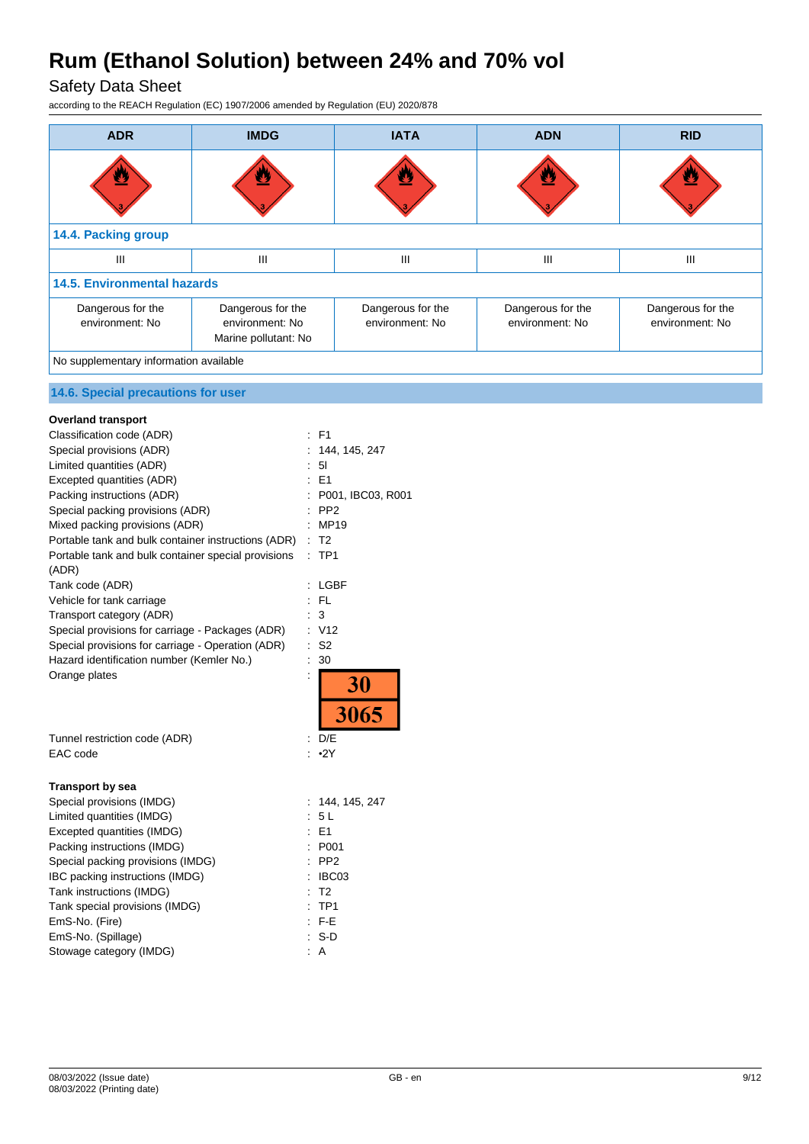Safety Data Sheet

according to the REACH Regulation (EC) 1907/2006 amended by Regulation (EU) 2020/878

| <b>ADR</b>                                                   | <b>IMDG</b>                                                  | <b>IATA</b>                          | <b>ADN</b>                           | <b>RID</b>                           |
|--------------------------------------------------------------|--------------------------------------------------------------|--------------------------------------|--------------------------------------|--------------------------------------|
|                                                              |                                                              |                                      | ≝                                    |                                      |
| 14.4. Packing group                                          |                                                              |                                      |                                      |                                      |
| III                                                          | III                                                          | $\mathsf{III}$                       | Ш                                    | Ш                                    |
| <b>14.5. Environmental hazards</b>                           |                                                              |                                      |                                      |                                      |
| Dangerous for the<br>environment: No                         | Dangerous for the<br>environment: No<br>Marine pollutant: No | Dangerous for the<br>environment: No | Dangerous for the<br>environment: No | Dangerous for the<br>environment: No |
| No supplementary information available                       |                                                              |                                      |                                      |                                      |
| 14.6. Special precautions for user                           |                                                              |                                      |                                      |                                      |
| <b>Overland transport</b>                                    |                                                              |                                      |                                      |                                      |
| Classification code (ADR)                                    | $E$ F1                                                       |                                      |                                      |                                      |
| Special provisions (ADR)                                     |                                                              | 144, 145, 247                        |                                      |                                      |
| Limited quantities (ADR)                                     | : 51                                                         |                                      |                                      |                                      |
| Excepted quantities (ADR)                                    | E1                                                           |                                      |                                      |                                      |
| Packing instructions (ADR)                                   |                                                              | P001, IBC03, R001                    |                                      |                                      |
| Special packing provisions (ADR)                             | PP <sub>2</sub>                                              |                                      |                                      |                                      |
| Mixed packing provisions (ADR)                               | : MP19                                                       |                                      |                                      |                                      |
| Portable tank and bulk container instructions (ADR) : T2     |                                                              |                                      |                                      |                                      |
| Portable tank and bulk container special provisions<br>(ADR) | :TP1                                                         |                                      |                                      |                                      |
| Tank code (ADR)                                              | : LGBF                                                       |                                      |                                      |                                      |
| Vehicle for tank carriage                                    | $:$ FL                                                       |                                      |                                      |                                      |
| Transport category (ADR)                                     | $\therefore$ 3                                               |                                      |                                      |                                      |
| Special provisions for carriage - Packages (ADR)             | : V12                                                        |                                      |                                      |                                      |
| Special provisions for carriage - Operation (ADR)            | : S2                                                         |                                      |                                      |                                      |
| Hazard identification number (Kemler No.)                    | 30                                                           |                                      |                                      |                                      |
| Orange plates                                                |                                                              | 30<br>3065                           |                                      |                                      |
| Tunnel restriction code (ADR)                                | D/E                                                          |                                      |                                      |                                      |

| Tunnel restriction code (ADR) |
|-------------------------------|
| EAC code                      |

### **Transport by sea**

| Special provisions (IMDG)         | : 144, 145, 247    |
|-----------------------------------|--------------------|
| Limited quantities (IMDG)         | : 5L               |
| Excepted quantities (IMDG)        | $E = 1$            |
| Packing instructions (IMDG)       | : P <sub>001</sub> |
| Special packing provisions (IMDG) | $:$ PP2            |
| IBC packing instructions (IMDG)   | : IBC03            |
| Tank instructions (IMDG)          | : T2               |
| Tank special provisions (IMDG)    | $:$ TP1            |
| EmS-No. (Fire)                    | $F-E$              |
| EmS-No. (Spillage)                | : S-D              |
| Stowage category (IMDG)           | : A                |
|                                   |                    |

 $: •2Y$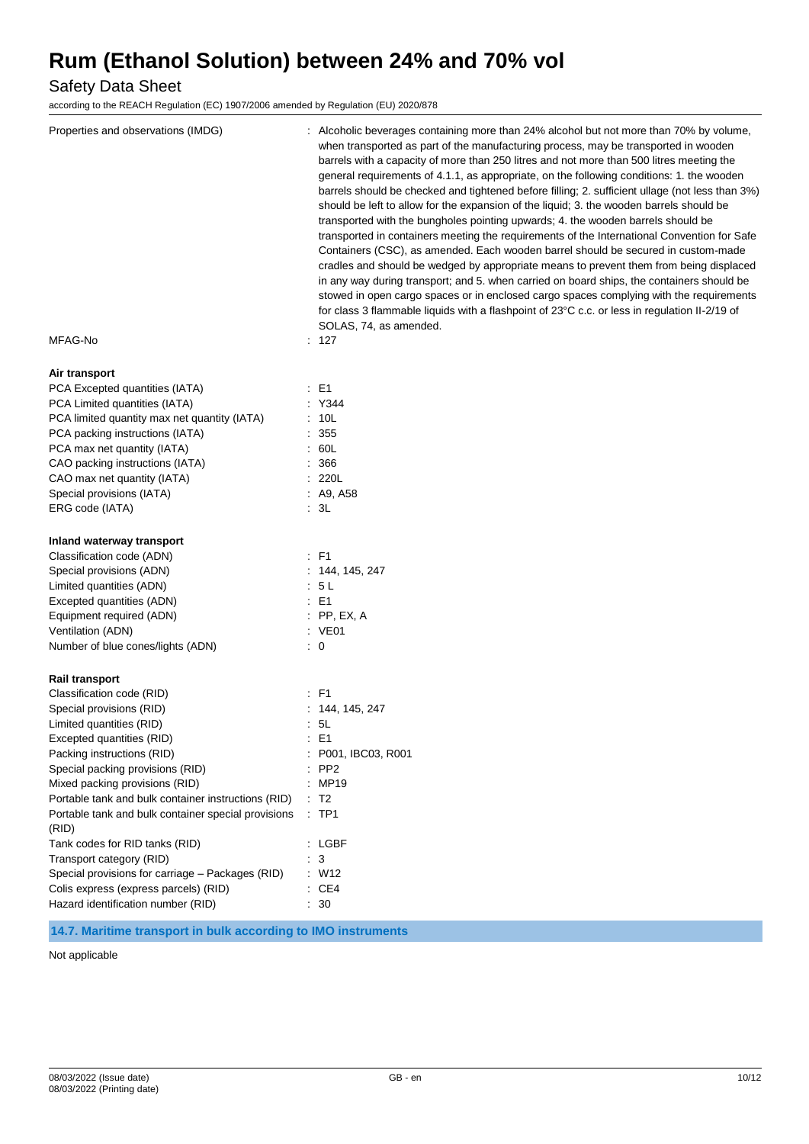Safety Data Sheet

according to the REACH Regulation (EC) 1907/2006 amended by Regulation (EU) 2020/878

| Properties and observations (IMDG)                           | : Alcoholic beverages containing more than 24% alcohol but not more than 70% by volume,<br>when transported as part of the manufacturing process, may be transported in wooden<br>barrels with a capacity of more than 250 litres and not more than 500 litres meeting the<br>general requirements of 4.1.1, as appropriate, on the following conditions: 1. the wooden<br>barrels should be checked and tightened before filling; 2. sufficient ullage (not less than 3%)<br>should be left to allow for the expansion of the liquid; 3. the wooden barrels should be<br>transported with the bungholes pointing upwards; 4. the wooden barrels should be<br>transported in containers meeting the requirements of the International Convention for Safe<br>Containers (CSC), as amended. Each wooden barrel should be secured in custom-made<br>cradles and should be wedged by appropriate means to prevent them from being displaced<br>in any way during transport; and 5. when carried on board ships, the containers should be<br>stowed in open cargo spaces or in enclosed cargo spaces complying with the requirements<br>for class 3 flammable liquids with a flashpoint of 23°C c.c. or less in regulation II-2/19 of<br>SOLAS, 74, as amended. |
|--------------------------------------------------------------|-------------------------------------------------------------------------------------------------------------------------------------------------------------------------------------------------------------------------------------------------------------------------------------------------------------------------------------------------------------------------------------------------------------------------------------------------------------------------------------------------------------------------------------------------------------------------------------------------------------------------------------------------------------------------------------------------------------------------------------------------------------------------------------------------------------------------------------------------------------------------------------------------------------------------------------------------------------------------------------------------------------------------------------------------------------------------------------------------------------------------------------------------------------------------------------------------------------------------------------------------------------|
| MFAG-No                                                      | : 127                                                                                                                                                                                                                                                                                                                                                                                                                                                                                                                                                                                                                                                                                                                                                                                                                                                                                                                                                                                                                                                                                                                                                                                                                                                       |
| Air transport                                                |                                                                                                                                                                                                                                                                                                                                                                                                                                                                                                                                                                                                                                                                                                                                                                                                                                                                                                                                                                                                                                                                                                                                                                                                                                                             |
| PCA Excepted quantities (IATA)                               | $\therefore$ E1                                                                                                                                                                                                                                                                                                                                                                                                                                                                                                                                                                                                                                                                                                                                                                                                                                                                                                                                                                                                                                                                                                                                                                                                                                             |
| PCA Limited quantities (IATA)                                | : Y344                                                                                                                                                                                                                                                                                                                                                                                                                                                                                                                                                                                                                                                                                                                                                                                                                                                                                                                                                                                                                                                                                                                                                                                                                                                      |
| PCA limited quantity max net quantity (IATA)                 | : 10L                                                                                                                                                                                                                                                                                                                                                                                                                                                                                                                                                                                                                                                                                                                                                                                                                                                                                                                                                                                                                                                                                                                                                                                                                                                       |
| PCA packing instructions (IATA)                              | : 355                                                                                                                                                                                                                                                                                                                                                                                                                                                                                                                                                                                                                                                                                                                                                                                                                                                                                                                                                                                                                                                                                                                                                                                                                                                       |
| PCA max net quantity (IATA)                                  | : 60L                                                                                                                                                                                                                                                                                                                                                                                                                                                                                                                                                                                                                                                                                                                                                                                                                                                                                                                                                                                                                                                                                                                                                                                                                                                       |
| CAO packing instructions (IATA)                              | : 366                                                                                                                                                                                                                                                                                                                                                                                                                                                                                                                                                                                                                                                                                                                                                                                                                                                                                                                                                                                                                                                                                                                                                                                                                                                       |
| CAO max net quantity (IATA)                                  | : 220L                                                                                                                                                                                                                                                                                                                                                                                                                                                                                                                                                                                                                                                                                                                                                                                                                                                                                                                                                                                                                                                                                                                                                                                                                                                      |
| Special provisions (IATA)                                    | : A9, A58                                                                                                                                                                                                                                                                                                                                                                                                                                                                                                                                                                                                                                                                                                                                                                                                                                                                                                                                                                                                                                                                                                                                                                                                                                                   |
| ERG code (IATA)                                              | : 3L                                                                                                                                                                                                                                                                                                                                                                                                                                                                                                                                                                                                                                                                                                                                                                                                                                                                                                                                                                                                                                                                                                                                                                                                                                                        |
| Inland waterway transport                                    |                                                                                                                                                                                                                                                                                                                                                                                                                                                                                                                                                                                                                                                                                                                                                                                                                                                                                                                                                                                                                                                                                                                                                                                                                                                             |
| Classification code (ADN)                                    | $\therefore$ F1                                                                                                                                                                                                                                                                                                                                                                                                                                                                                                                                                                                                                                                                                                                                                                                                                                                                                                                                                                                                                                                                                                                                                                                                                                             |
| Special provisions (ADN)                                     | : 144, 145, 247                                                                                                                                                                                                                                                                                                                                                                                                                                                                                                                                                                                                                                                                                                                                                                                                                                                                                                                                                                                                                                                                                                                                                                                                                                             |
| Limited quantities (ADN)                                     | : 5 L                                                                                                                                                                                                                                                                                                                                                                                                                                                                                                                                                                                                                                                                                                                                                                                                                                                                                                                                                                                                                                                                                                                                                                                                                                                       |
| Excepted quantities (ADN)                                    | $\therefore$ E1                                                                                                                                                                                                                                                                                                                                                                                                                                                                                                                                                                                                                                                                                                                                                                                                                                                                                                                                                                                                                                                                                                                                                                                                                                             |
| Equipment required (ADN)                                     | $:$ PP, EX, A                                                                                                                                                                                                                                                                                                                                                                                                                                                                                                                                                                                                                                                                                                                                                                                                                                                                                                                                                                                                                                                                                                                                                                                                                                               |
| Ventilation (ADN)                                            | : VE01                                                                                                                                                                                                                                                                                                                                                                                                                                                                                                                                                                                                                                                                                                                                                                                                                                                                                                                                                                                                                                                                                                                                                                                                                                                      |
| Number of blue cones/lights (ADN)                            | $\therefore$ 0                                                                                                                                                                                                                                                                                                                                                                                                                                                                                                                                                                                                                                                                                                                                                                                                                                                                                                                                                                                                                                                                                                                                                                                                                                              |
| Rail transport                                               |                                                                                                                                                                                                                                                                                                                                                                                                                                                                                                                                                                                                                                                                                                                                                                                                                                                                                                                                                                                                                                                                                                                                                                                                                                                             |
| Classification code (RID)                                    | $\therefore$ F1                                                                                                                                                                                                                                                                                                                                                                                                                                                                                                                                                                                                                                                                                                                                                                                                                                                                                                                                                                                                                                                                                                                                                                                                                                             |
| Special provisions (RID)                                     | : 144, 145, 247                                                                                                                                                                                                                                                                                                                                                                                                                                                                                                                                                                                                                                                                                                                                                                                                                                                                                                                                                                                                                                                                                                                                                                                                                                             |
| Limited quantities (RID)                                     | : 5L                                                                                                                                                                                                                                                                                                                                                                                                                                                                                                                                                                                                                                                                                                                                                                                                                                                                                                                                                                                                                                                                                                                                                                                                                                                        |
| Excepted quantities (RID)                                    | : E1                                                                                                                                                                                                                                                                                                                                                                                                                                                                                                                                                                                                                                                                                                                                                                                                                                                                                                                                                                                                                                                                                                                                                                                                                                                        |
| Packing instructions (RID)                                   | P001, IBC03, R001                                                                                                                                                                                                                                                                                                                                                                                                                                                                                                                                                                                                                                                                                                                                                                                                                                                                                                                                                                                                                                                                                                                                                                                                                                           |
| Special packing provisions (RID)                             | $:$ PP2                                                                                                                                                                                                                                                                                                                                                                                                                                                                                                                                                                                                                                                                                                                                                                                                                                                                                                                                                                                                                                                                                                                                                                                                                                                     |
| Mixed packing provisions (RID)                               | : MP19                                                                                                                                                                                                                                                                                                                                                                                                                                                                                                                                                                                                                                                                                                                                                                                                                                                                                                                                                                                                                                                                                                                                                                                                                                                      |
| Portable tank and bulk container instructions (RID)          | $\therefore$ T2                                                                                                                                                                                                                                                                                                                                                                                                                                                                                                                                                                                                                                                                                                                                                                                                                                                                                                                                                                                                                                                                                                                                                                                                                                             |
| Portable tank and bulk container special provisions<br>(RID) | $:$ TP1                                                                                                                                                                                                                                                                                                                                                                                                                                                                                                                                                                                                                                                                                                                                                                                                                                                                                                                                                                                                                                                                                                                                                                                                                                                     |
| Tank codes for RID tanks (RID)                               | : LGBF                                                                                                                                                                                                                                                                                                                                                                                                                                                                                                                                                                                                                                                                                                                                                                                                                                                                                                                                                                                                                                                                                                                                                                                                                                                      |
| Transport category (RID)                                     | $\cdot$ 3                                                                                                                                                                                                                                                                                                                                                                                                                                                                                                                                                                                                                                                                                                                                                                                                                                                                                                                                                                                                                                                                                                                                                                                                                                                   |
| Special provisions for carriage - Packages (RID)             | : W12                                                                                                                                                                                                                                                                                                                                                                                                                                                                                                                                                                                                                                                                                                                                                                                                                                                                                                                                                                                                                                                                                                                                                                                                                                                       |
|                                                              |                                                                                                                                                                                                                                                                                                                                                                                                                                                                                                                                                                                                                                                                                                                                                                                                                                                                                                                                                                                                                                                                                                                                                                                                                                                             |
| Colis express (express parcels) (RID)                        | $\therefore$ CE4                                                                                                                                                                                                                                                                                                                                                                                                                                                                                                                                                                                                                                                                                                                                                                                                                                                                                                                                                                                                                                                                                                                                                                                                                                            |

## **14.7. Maritime transport in bulk according to IMO instruments**

Not applicable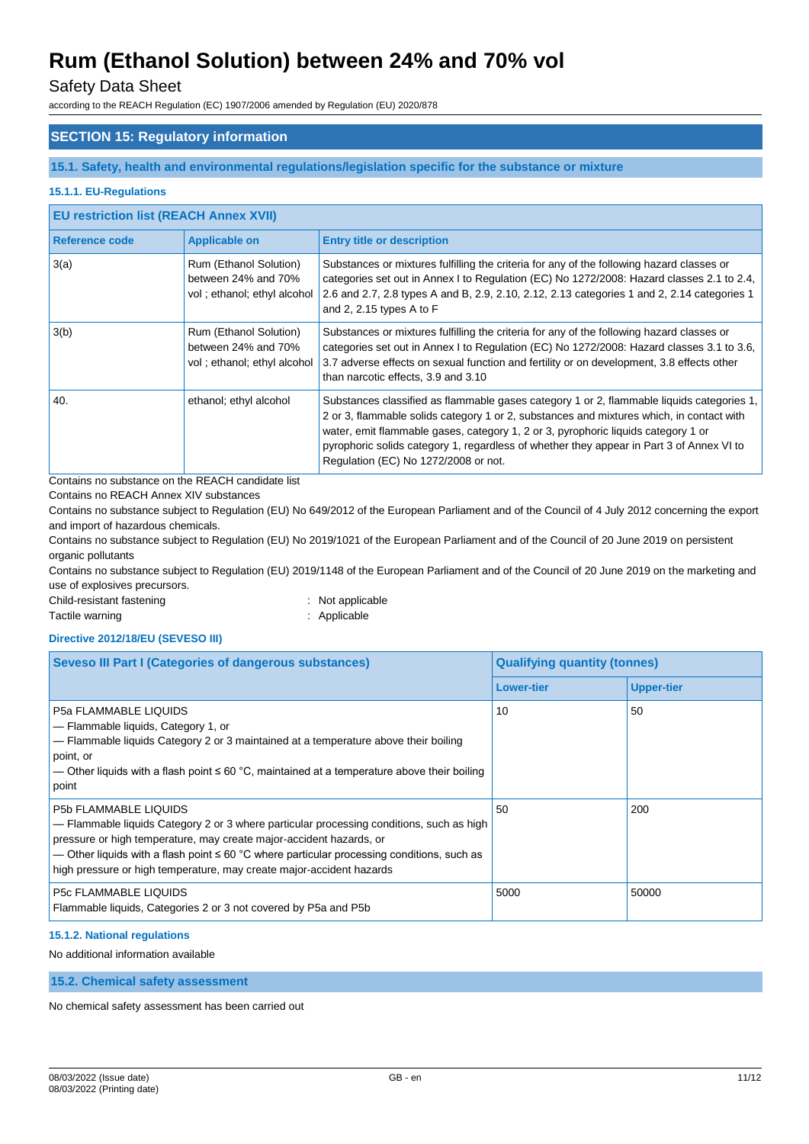## Safety Data Sheet

according to the REACH Regulation (EC) 1907/2006 amended by Regulation (EU) 2020/878

## **SECTION 15: Regulatory information**

#### **15.1. Safety, health and environmental regulations/legislation specific for the substance or mixture**

#### **15.1.1. EU-Regulations**

| <b>EU restriction list (REACH Annex XVII)</b> |                                                                              |                                                                                                                                                                                                                                                                                                                                                                                                                |  |
|-----------------------------------------------|------------------------------------------------------------------------------|----------------------------------------------------------------------------------------------------------------------------------------------------------------------------------------------------------------------------------------------------------------------------------------------------------------------------------------------------------------------------------------------------------------|--|
| Reference code                                | <b>Applicable on</b>                                                         | <b>Entry title or description</b>                                                                                                                                                                                                                                                                                                                                                                              |  |
| 3(a)                                          | Rum (Ethanol Solution)<br>between 24% and 70%<br>vol; ethanol; ethyl alcohol | Substances or mixtures fulfilling the criteria for any of the following hazard classes or<br>categories set out in Annex I to Regulation (EC) No 1272/2008: Hazard classes 2.1 to 2.4,<br>2.6 and 2.7, 2.8 types A and B, 2.9, 2.10, 2.12, 2.13 categories 1 and 2, 2.14 categories 1<br>and 2, 2.15 types A to $F$                                                                                            |  |
| 3(b)                                          | Rum (Ethanol Solution)<br>between 24% and 70%<br>vol; ethanol; ethyl alcohol | Substances or mixtures fulfilling the criteria for any of the following hazard classes or<br>categories set out in Annex I to Regulation (EC) No 1272/2008: Hazard classes 3.1 to 3.6,<br>3.7 adverse effects on sexual function and fertility or on development, 3.8 effects other<br>than narcotic effects, 3.9 and 3.10                                                                                     |  |
| 40.                                           | ethanol; ethyl alcohol                                                       | Substances classified as flammable gases category 1 or 2, flammable liquids categories 1,<br>2 or 3, flammable solids category 1 or 2, substances and mixtures which, in contact with<br>water, emit flammable gases, category 1, 2 or 3, pyrophoric liquids category 1 or<br>pyrophoric solids category 1, regardless of whether they appear in Part 3 of Annex VI to<br>Regulation (EC) No 1272/2008 or not. |  |

Contains no substance on the REACH candidate list

Contains no REACH Annex XIV substances

Contains no substance subject to Regulation (EU) No 649/2012 of the European Parliament and of the Council of 4 July 2012 concerning the export and import of hazardous chemicals.

Contains no substance subject to Regulation (EU) No 2019/1021 of the European Parliament and of the Council of 20 June 2019 on persistent organic pollutants

Contains no substance subject to Regulation (EU) 2019/1148 of the European Parliament and of the Council of 20 June 2019 on the marketing and use of explosives precursors.

Child-resistant fastening in the state of the state of the state of the state of the state of the state of the state of the state of the state of the state of the state of the state of the state of the state of the state o

Tactile warning **in the case of the California** Contraction of the Applicable

**Directive 2012/18/EU (SEVESO III)**

| <b>Seveso III Part I (Categories of dangerous substances)</b>                                                                                                                                                                                                                                                                                                         | <b>Qualifying quantity (tonnes)</b> |                   |
|-----------------------------------------------------------------------------------------------------------------------------------------------------------------------------------------------------------------------------------------------------------------------------------------------------------------------------------------------------------------------|-------------------------------------|-------------------|
|                                                                                                                                                                                                                                                                                                                                                                       | <b>Lower-tier</b>                   | <b>Upper-tier</b> |
| <b>P5a FLAMMABLE LIQUIDS</b><br>$-$ Flammable liquids, Category 1, or<br>$-$ Flammable liquids Category 2 or 3 maintained at a temperature above their boiling<br>point, or<br>— Other liquids with a flash point $\leq 60$ °C, maintained at a temperature above their boiling<br>point                                                                              | 10                                  | 50                |
| P5b FLAMMABLE LIQUIDS<br>$-$ Flammable liquids Category 2 or 3 where particular processing conditions, such as high<br>pressure or high temperature, may create major-accident hazards, or<br>— Other liquids with a flash point $\leq 60$ °C where particular processing conditions, such as<br>high pressure or high temperature, may create major-accident hazards | 50                                  | 200               |
| <b>P5c FLAMMABLE LIQUIDS</b><br>Flammable liquids, Categories 2 or 3 not covered by P5a and P5b                                                                                                                                                                                                                                                                       | 5000                                | 50000             |

### **15.1.2. National regulations**

No additional information available

### **15.2. Chemical safety assessment**

No chemical safety assessment has been carried out